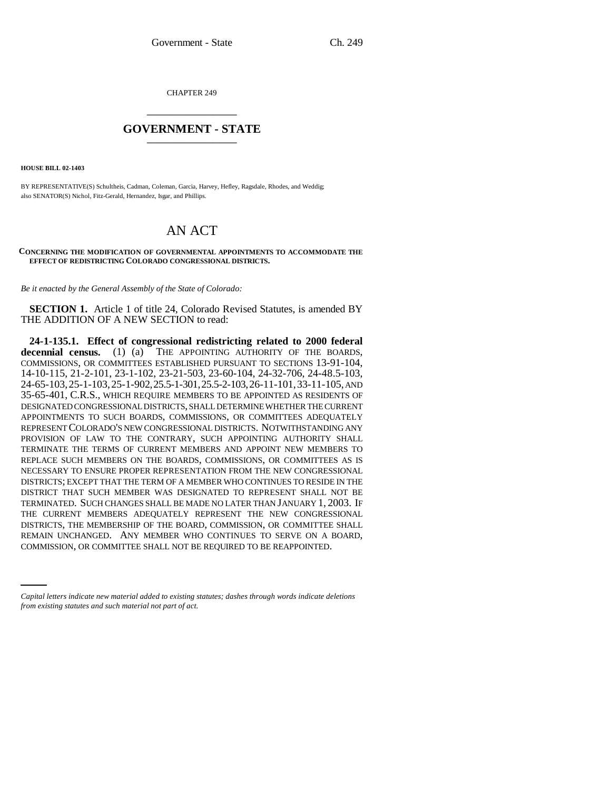CHAPTER 249 \_\_\_\_\_\_\_\_\_\_\_\_\_\_\_

# **GOVERNMENT - STATE** \_\_\_\_\_\_\_\_\_\_\_\_\_\_\_

**HOUSE BILL 02-1403**

BY REPRESENTATIVE(S) Schultheis, Cadman, Coleman, Garcia, Harvey, Hefley, Ragsdale, Rhodes, and Weddig; also SENATOR(S) Nichol, Fitz-Gerald, Hernandez, Isgar, and Phillips.

# AN ACT

#### **CONCERNING THE MODIFICATION OF GOVERNMENTAL APPOINTMENTS TO ACCOMMODATE THE EFFECT OF REDISTRICTING COLORADO CONGRESSIONAL DISTRICTS.**

*Be it enacted by the General Assembly of the State of Colorado:*

**SECTION 1.** Article 1 of title 24, Colorado Revised Statutes, is amended BY THE ADDITION OF A NEW SECTION to read:

REMAIN UNCHANGED. ANY MEMBER WHO CONTINUES TO SERVE ON A BOARD, **24-1-135.1. Effect of congressional redistricting related to 2000 federal** decennial census. (1) (a) THE APPOINTING AUTHORITY OF THE BOARDS, COMMISSIONS, OR COMMITTEES ESTABLISHED PURSUANT TO SECTIONS 13-91-104, 14-10-115, 21-2-101, 23-1-102, 23-21-503, 23-60-104, 24-32-706, 24-48.5-103, 24-65-103,25-1-103,25-1-902,25.5-1-301,25.5-2-103,26-11-101,33-11-105, AND 35-65-401, C.R.S., WHICH REQUIRE MEMBERS TO BE APPOINTED AS RESIDENTS OF DESIGNATED CONGRESSIONAL DISTRICTS, SHALL DETERMINE WHETHER THE CURRENT APPOINTMENTS TO SUCH BOARDS, COMMISSIONS, OR COMMITTEES ADEQUATELY REPRESENT COLORADO'S NEW CONGRESSIONAL DISTRICTS. NOTWITHSTANDING ANY PROVISION OF LAW TO THE CONTRARY, SUCH APPOINTING AUTHORITY SHALL TERMINATE THE TERMS OF CURRENT MEMBERS AND APPOINT NEW MEMBERS TO REPLACE SUCH MEMBERS ON THE BOARDS, COMMISSIONS, OR COMMITTEES AS IS NECESSARY TO ENSURE PROPER REPRESENTATION FROM THE NEW CONGRESSIONAL DISTRICTS; EXCEPT THAT THE TERM OF A MEMBER WHO CONTINUES TO RESIDE IN THE DISTRICT THAT SUCH MEMBER WAS DESIGNATED TO REPRESENT SHALL NOT BE TERMINATED. SUCH CHANGES SHALL BE MADE NO LATER THAN JANUARY 1, 2003. IF THE CURRENT MEMBERS ADEQUATELY REPRESENT THE NEW CONGRESSIONAL DISTRICTS, THE MEMBERSHIP OF THE BOARD, COMMISSION, OR COMMITTEE SHALL COMMISSION, OR COMMITTEE SHALL NOT BE REQUIRED TO BE REAPPOINTED.

*Capital letters indicate new material added to existing statutes; dashes through words indicate deletions from existing statutes and such material not part of act.*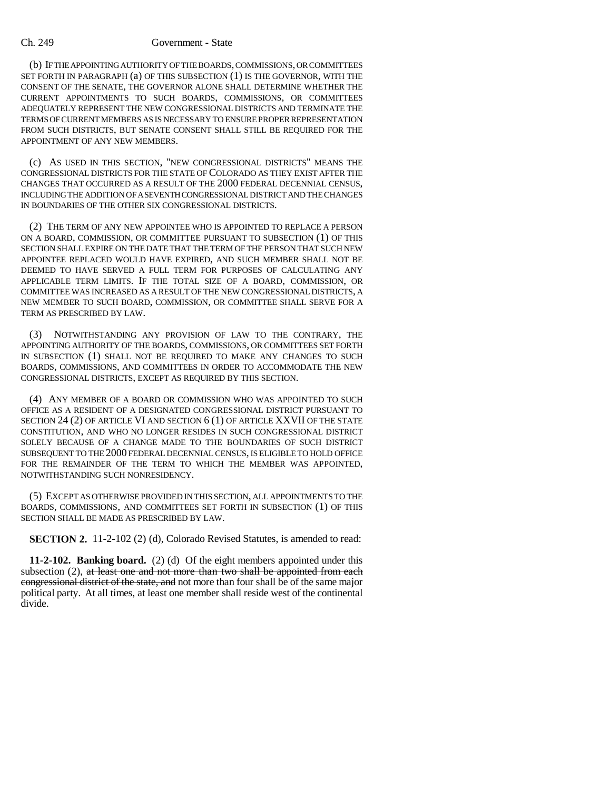#### Ch. 249 Government - State

(b) IF THE APPOINTING AUTHORITY OF THE BOARDS, COMMISSIONS, OR COMMITTEES SET FORTH IN PARAGRAPH (a) OF THIS SUBSECTION (1) IS THE GOVERNOR, WITH THE CONSENT OF THE SENATE, THE GOVERNOR ALONE SHALL DETERMINE WHETHER THE CURRENT APPOINTMENTS TO SUCH BOARDS, COMMISSIONS, OR COMMITTEES ADEQUATELY REPRESENT THE NEW CONGRESSIONAL DISTRICTS AND TERMINATE THE TERMS OF CURRENT MEMBERS AS IS NECESSARY TO ENSURE PROPER REPRESENTATION FROM SUCH DISTRICTS, BUT SENATE CONSENT SHALL STILL BE REQUIRED FOR THE APPOINTMENT OF ANY NEW MEMBERS.

(c) AS USED IN THIS SECTION, "NEW CONGRESSIONAL DISTRICTS" MEANS THE CONGRESSIONAL DISTRICTS FOR THE STATE OF COLORADO AS THEY EXIST AFTER THE CHANGES THAT OCCURRED AS A RESULT OF THE 2000 FEDERAL DECENNIAL CENSUS, INCLUDING THE ADDITION OF A SEVENTH CONGRESSIONAL DISTRICT AND THE CHANGES IN BOUNDARIES OF THE OTHER SIX CONGRESSIONAL DISTRICTS.

(2) THE TERM OF ANY NEW APPOINTEE WHO IS APPOINTED TO REPLACE A PERSON ON A BOARD, COMMISSION, OR COMMITTEE PURSUANT TO SUBSECTION (1) OF THIS SECTION SHALL EXPIRE ON THE DATE THAT THE TERM OF THE PERSON THAT SUCH NEW APPOINTEE REPLACED WOULD HAVE EXPIRED, AND SUCH MEMBER SHALL NOT BE DEEMED TO HAVE SERVED A FULL TERM FOR PURPOSES OF CALCULATING ANY APPLICABLE TERM LIMITS. IF THE TOTAL SIZE OF A BOARD, COMMISSION, OR COMMITTEE WAS INCREASED AS A RESULT OF THE NEW CONGRESSIONAL DISTRICTS, A NEW MEMBER TO SUCH BOARD, COMMISSION, OR COMMITTEE SHALL SERVE FOR A TERM AS PRESCRIBED BY LAW.

(3) NOTWITHSTANDING ANY PROVISION OF LAW TO THE CONTRARY, THE APPOINTING AUTHORITY OF THE BOARDS, COMMISSIONS, OR COMMITTEES SET FORTH IN SUBSECTION (1) SHALL NOT BE REQUIRED TO MAKE ANY CHANGES TO SUCH BOARDS, COMMISSIONS, AND COMMITTEES IN ORDER TO ACCOMMODATE THE NEW CONGRESSIONAL DISTRICTS, EXCEPT AS REQUIRED BY THIS SECTION.

(4) ANY MEMBER OF A BOARD OR COMMISSION WHO WAS APPOINTED TO SUCH OFFICE AS A RESIDENT OF A DESIGNATED CONGRESSIONAL DISTRICT PURSUANT TO SECTION 24 (2) OF ARTICLE VI AND SECTION 6 (1) OF ARTICLE XXVII OF THE STATE CONSTITUTION, AND WHO NO LONGER RESIDES IN SUCH CONGRESSIONAL DISTRICT SOLELY BECAUSE OF A CHANGE MADE TO THE BOUNDARIES OF SUCH DISTRICT SUBSEQUENT TO THE 2000 FEDERAL DECENNIAL CENSUS, IS ELIGIBLE TO HOLD OFFICE FOR THE REMAINDER OF THE TERM TO WHICH THE MEMBER WAS APPOINTED. NOTWITHSTANDING SUCH NONRESIDENCY.

(5) EXCEPT AS OTHERWISE PROVIDED IN THIS SECTION, ALL APPOINTMENTS TO THE BOARDS, COMMISSIONS, AND COMMITTEES SET FORTH IN SUBSECTION (1) OF THIS SECTION SHALL BE MADE AS PRESCRIBED BY LAW.

**SECTION 2.** 11-2-102 (2) (d), Colorado Revised Statutes, is amended to read:

**11-2-102. Banking board.** (2) (d) Of the eight members appointed under this subsection  $(2)$ , at least one and not more than two shall be appointed from each congressional district of the state, and not more than four shall be of the same major political party. At all times, at least one member shall reside west of the continental divide.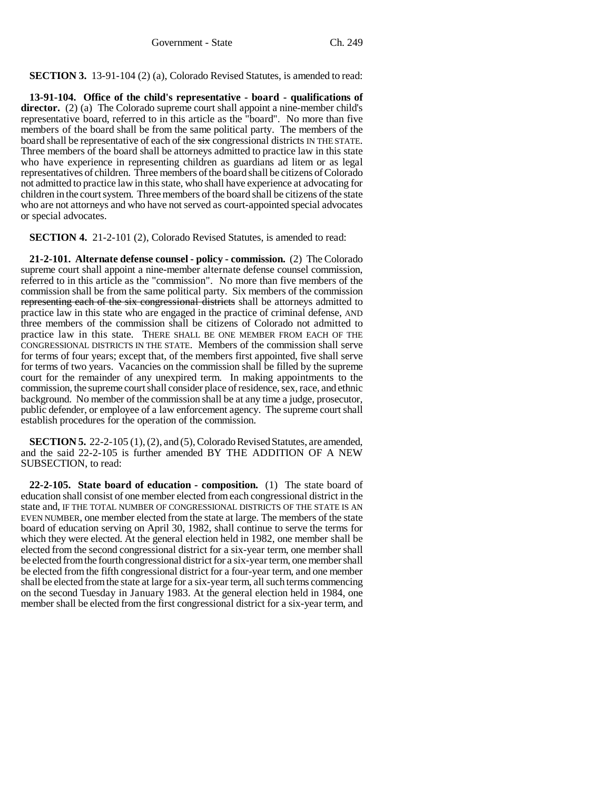# **SECTION 3.** 13-91-104 (2) (a), Colorado Revised Statutes, is amended to read:

**13-91-104. Office of the child's representative - board - qualifications of director.** (2) (a) The Colorado supreme court shall appoint a nine-member child's representative board, referred to in this article as the "board". No more than five members of the board shall be from the same political party. The members of the board shall be representative of each of the  $\frac{1}{\sqrt{2}}$  congressional districts IN THE STATE. Three members of the board shall be attorneys admitted to practice law in this state who have experience in representing children as guardians ad litem or as legal representatives of children. Three members of the board shall be citizens of Colorado not admitted to practice law in this state, who shall have experience at advocating for children in the court system. Three members of the board shall be citizens of the state who are not attorneys and who have not served as court-appointed special advocates or special advocates.

**SECTION 4.** 21-2-101 (2), Colorado Revised Statutes, is amended to read:

**21-2-101. Alternate defense counsel - policy - commission.** (2) The Colorado supreme court shall appoint a nine-member alternate defense counsel commission, referred to in this article as the "commission". No more than five members of the commission shall be from the same political party. Six members of the commission representing each of the six congressional districts shall be attorneys admitted to practice law in this state who are engaged in the practice of criminal defense, AND three members of the commission shall be citizens of Colorado not admitted to practice law in this state. THERE SHALL BE ONE MEMBER FROM EACH OF THE CONGRESSIONAL DISTRICTS IN THE STATE. Members of the commission shall serve for terms of four years; except that, of the members first appointed, five shall serve for terms of two years. Vacancies on the commission shall be filled by the supreme court for the remainder of any unexpired term. In making appointments to the commission, the supreme court shall consider place of residence, sex, race, and ethnic background. No member of the commission shall be at any time a judge, prosecutor, public defender, or employee of a law enforcement agency. The supreme court shall establish procedures for the operation of the commission.

**SECTION 5.** 22-2-105 (1), (2), and (5), Colorado Revised Statutes, are amended, and the said 22-2-105 is further amended BY THE ADDITION OF A NEW SUBSECTION, to read:

**22-2-105. State board of education - composition.** (1) The state board of education shall consist of one member elected from each congressional district in the state and, IF THE TOTAL NUMBER OF CONGRESSIONAL DISTRICTS OF THE STATE IS AN EVEN NUMBER, one member elected from the state at large. The members of the state board of education serving on April 30, 1982, shall continue to serve the terms for which they were elected. At the general election held in 1982, one member shall be elected from the second congressional district for a six-year term, one member shall be elected from the fourth congressional district for a six-year term, one member shall be elected from the fifth congressional district for a four-year term, and one member shall be elected from the state at large for a six-year term, all such terms commencing on the second Tuesday in January 1983. At the general election held in 1984, one member shall be elected from the first congressional district for a six-year term, and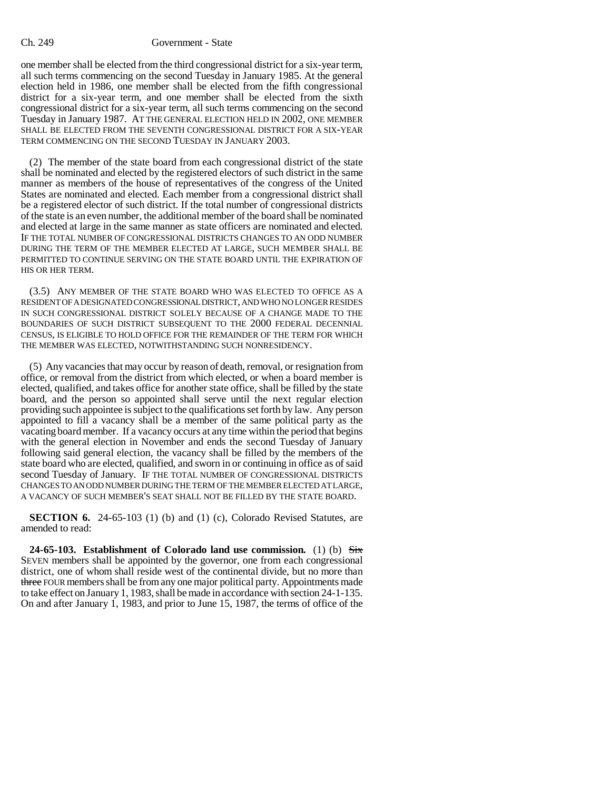### Ch. 249 Government - State

one member shall be elected from the third congressional district for a six-year term, all such terms commencing on the second Tuesday in January 1985. At the general election held in 1986, one member shall be elected from the fifth congressional district for a six-year term, and one member shall be elected from the sixth congressional district for a six-year term, all such terms commencing on the second Tuesday in January 1987. AT THE GENERAL ELECTION HELD IN 2002, ONE MEMBER SHALL BE ELECTED FROM THE SEVENTH CONGRESSIONAL DISTRICT FOR A SIX-YEAR TERM COMMENCING ON THE SECOND TUESDAY IN JANUARY 2003.

(2) The member of the state board from each congressional district of the state shall be nominated and elected by the registered electors of such district in the same manner as members of the house of representatives of the congress of the United States are nominated and elected. Each member from a congressional district shall be a registered elector of such district. If the total number of congressional districts of the state is an even number, the additional member of the board shall be nominated and elected at large in the same manner as state officers are nominated and elected. IF THE TOTAL NUMBER OF CONGRESSIONAL DISTRICTS CHANGES TO AN ODD NUMBER DURING THE TERM OF THE MEMBER ELECTED AT LARGE, SUCH MEMBER SHALL BE PERMITTED TO CONTINUE SERVING ON THE STATE BOARD UNTIL THE EXPIRATION OF HIS OR HER TERM.

(3.5) ANY MEMBER OF THE STATE BOARD WHO WAS ELECTED TO OFFICE AS A RESIDENT OF A DESIGNATED CONGRESSIONAL DISTRICT, AND WHO NO LONGER RESIDES IN SUCH CONGRESSIONAL DISTRICT SOLELY BECAUSE OF A CHANGE MADE TO THE BOUNDARIES OF SUCH DISTRICT SUBSEQUENT TO THE 2000 FEDERAL DECENNIAL CENSUS, IS ELIGIBLE TO HOLD OFFICE FOR THE REMAINDER OF THE TERM FOR WHICH THE MEMBER WAS ELECTED, NOTWITHSTANDING SUCH NONRESIDENCY.

(5) Any vacancies that may occur by reason of death, removal, or resignation from office, or removal from the district from which elected, or when a board member is elected, qualified, and takes office for another state office, shall be filled by the state board, and the person so appointed shall serve until the next regular election providing such appointee is subject to the qualifications set forth by law. Any person appointed to fill a vacancy shall be a member of the same political party as the vacating board member. If a vacancy occurs at any time within the period that begins with the general election in November and ends the second Tuesday of January following said general election, the vacancy shall be filled by the members of the state board who are elected, qualified, and sworn in or continuing in office as of said second Tuesday of January. IF THE TOTAL NUMBER OF CONGRESSIONAL DISTRICTS CHANGES TO AN ODD NUMBER DURING THE TERM OF THE MEMBER ELECTED AT LARGE, A VACANCY OF SUCH MEMBER'S SEAT SHALL NOT BE FILLED BY THE STATE BOARD.

**SECTION 6.** 24-65-103 (1) (b) and (1) (c), Colorado Revised Statutes, are amended to read:

**24-65-103. Establishment of Colorado land use commission.** (1) (b) Six SEVEN members shall be appointed by the governor, one from each congressional district, one of whom shall reside west of the continental divide, but no more than three FOUR members shall be from any one major political party. Appointments made to take effect on January 1, 1983, shall be made in accordance with section 24-1-135. On and after January 1, 1983, and prior to June 15, 1987, the terms of office of the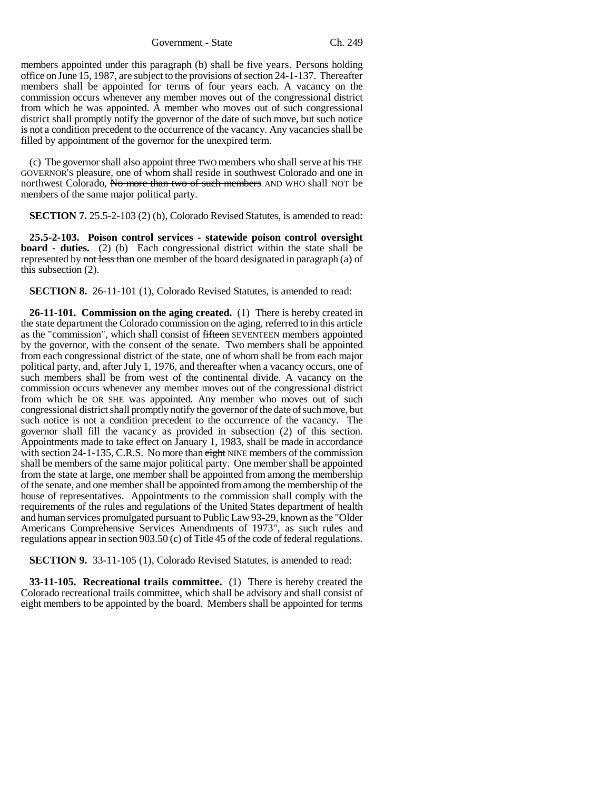Government - State Ch. 249

members appointed under this paragraph (b) shall be five years. Persons holding office on June 15, 1987, are subject to the provisions of section 24-1-137. Thereafter members shall be appointed for terms of four years each. A vacancy on the commission occurs whenever any member moves out of the congressional district from which he was appointed. A member who moves out of such congressional district shall promptly notify the governor of the date of such move, but such notice is not a condition precedent to the occurrence of the vacancy. Any vacancies shall be filled by appointment of the governor for the unexpired term.

(c) The governor shall also appoint three TWO members who shall serve at his THE GOVERNOR'S pleasure, one of whom shall reside in southwest Colorado and one in northwest Colorado, No more than two of such members AND WHO shall NOT be members of the same major political party.

**SECTION 7.** 25.5-2-103 (2) (b), Colorado Revised Statutes, is amended to read:

**25.5-2-103. Poison control services - statewide poison control oversight board - duties.** (2) (b) Each congressional district within the state shall be represented by not less than one member of the board designated in paragraph (a) of this subsection (2).

**SECTION 8.** 26-11-101 (1), Colorado Revised Statutes, is amended to read:

**26-11-101. Commission on the aging created.** (1) There is hereby created in the state department the Colorado commission on the aging, referred to in this article as the "commission", which shall consist of fifteen SEVENTEEN members appointed by the governor, with the consent of the senate. Two members shall be appointed from each congressional district of the state, one of whom shall be from each major political party, and, after July 1, 1976, and thereafter when a vacancy occurs, one of such members shall be from west of the continental divide. A vacancy on the commission occurs whenever any member moves out of the congressional district from which he OR SHE was appointed. Any member who moves out of such congressional district shall promptly notify the governor of the date of such move, but such notice is not a condition precedent to the occurrence of the vacancy. The governor shall fill the vacancy as provided in subsection (2) of this section. Appointments made to take effect on January 1, 1983, shall be made in accordance with section 24-1-135, C.R.S. No more than eight NINE members of the commission shall be members of the same major political party. One member shall be appointed from the state at large, one member shall be appointed from among the membership of the senate, and one member shall be appointed from among the membership of the house of representatives. Appointments to the commission shall comply with the requirements of the rules and regulations of the United States department of health and human services promulgated pursuant to Public Law 93-29, known as the "Older Americans Comprehensive Services Amendments of 1973", as such rules and regulations appear in section 903.50 (c) of Title 45 of the code of federal regulations.

**SECTION 9.** 33-11-105 (1), Colorado Revised Statutes, is amended to read:

**33-11-105. Recreational trails committee.** (1) There is hereby created the Colorado recreational trails committee, which shall be advisory and shall consist of eight members to be appointed by the board. Members shall be appointed for terms